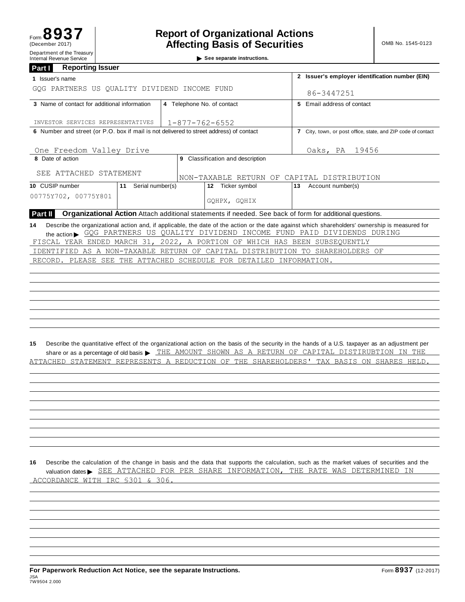| Department of the Treasury<br><b>Internal Revenue Service</b>                                                                |                        |                                                              | See separate instructions.                                                                                                                                                                                                                                                                                                                         |                         |  |  |  |  |
|------------------------------------------------------------------------------------------------------------------------------|------------------------|--------------------------------------------------------------|----------------------------------------------------------------------------------------------------------------------------------------------------------------------------------------------------------------------------------------------------------------------------------------------------------------------------------------------------|-------------------------|--|--|--|--|
| <b>Reporting Issuer</b><br>Part I                                                                                            |                        |                                                              |                                                                                                                                                                                                                                                                                                                                                    |                         |  |  |  |  |
| 1 Issuer's name                                                                                                              |                        | 2 Issuer's employer identification number (EIN)              |                                                                                                                                                                                                                                                                                                                                                    |                         |  |  |  |  |
| GOG PARTNERS US OUALITY DIVIDEND INCOME FUND                                                                                 |                        | 86-3447251                                                   |                                                                                                                                                                                                                                                                                                                                                    |                         |  |  |  |  |
| 3 Name of contact for additional information                                                                                 |                        | 4 Telephone No. of contact                                   | 5 Email address of contact                                                                                                                                                                                                                                                                                                                         |                         |  |  |  |  |
|                                                                                                                              |                        |                                                              |                                                                                                                                                                                                                                                                                                                                                    |                         |  |  |  |  |
| INVESTOR SERVICES REPRESENTATIVES<br>6 Number and street (or P.O. box if mail is not delivered to street address) of contact | $1 - 877 - 762 - 6552$ |                                                              |                                                                                                                                                                                                                                                                                                                                                    |                         |  |  |  |  |
|                                                                                                                              |                        | 7 City, town, or post office, state, and ZIP code of contact |                                                                                                                                                                                                                                                                                                                                                    |                         |  |  |  |  |
| One Freedom Valley Drive                                                                                                     |                        |                                                              |                                                                                                                                                                                                                                                                                                                                                    | Oaks, PA<br>19456       |  |  |  |  |
| 8 Date of action                                                                                                             |                        |                                                              | 9 Classification and description                                                                                                                                                                                                                                                                                                                   |                         |  |  |  |  |
| SEE ATTACHED STATEMENT                                                                                                       |                        |                                                              | NON-TAXABLE RETURN OF CAPITAL DISTRIBUTION                                                                                                                                                                                                                                                                                                         |                         |  |  |  |  |
| 10 CUSIP number                                                                                                              | 11 Serial number(s)    |                                                              | 12 Ticker symbol                                                                                                                                                                                                                                                                                                                                   | Account number(s)<br>13 |  |  |  |  |
| 00775Y702, 00775Y801                                                                                                         |                        |                                                              | GQHPX, GQHIX                                                                                                                                                                                                                                                                                                                                       |                         |  |  |  |  |
| Part II                                                                                                                      |                        |                                                              | Organizational Action Attach additional statements if needed. See back of form for additional questions.                                                                                                                                                                                                                                           |                         |  |  |  |  |
|                                                                                                                              |                        |                                                              | the action SQG PARTNERS US QUALITY DIVIDEND INCOME FUND PAID DIVIDENDS DURING<br>FISCAL YEAR ENDED MARCH 31, 2022, A PORTION OF WHICH HAS BEEN SUBSEQUENTLY<br>IDENTIFIED AS A NON-TAXABLE RETURN OF CAPITAL DISTRIBUTION TO SHAREHOLDERS OF<br>RECORD. PLEASE SEE THE ATTACHED SCHEDULE FOR DETAILED INFORMATION.                                 |                         |  |  |  |  |
| 15                                                                                                                           |                        |                                                              | Describe the quantitative effect of the organizational action on the basis of the security in the hands of a U.S. taxpayer as an adjustment per<br>share or as a percentage of old basis > THE AMOUNT SHOWN AS A RETURN OF CAPITAL DISTIRUBTION IN THE<br>ATTACHED STATEMENT REPRESENTS A REDUCTION OF THE SHAREHOLDERS' TAX BASIS ON SHARES HELD. |                         |  |  |  |  |
|                                                                                                                              |                        |                                                              |                                                                                                                                                                                                                                                                                                                                                    |                         |  |  |  |  |

**16** Describe the calculation of the change in basis and the data that supports the calculation, such as the market values of securities and the Describe the calculation of the change in basis and the data that supports the calculation, such as the market values of securities and<br>valuation dates > SEE ATTACHED FOR PER SHARE INFORMATION, THE RATE WAS DETERMINED IN ACCORDANCE WITH IRC §301 & 306.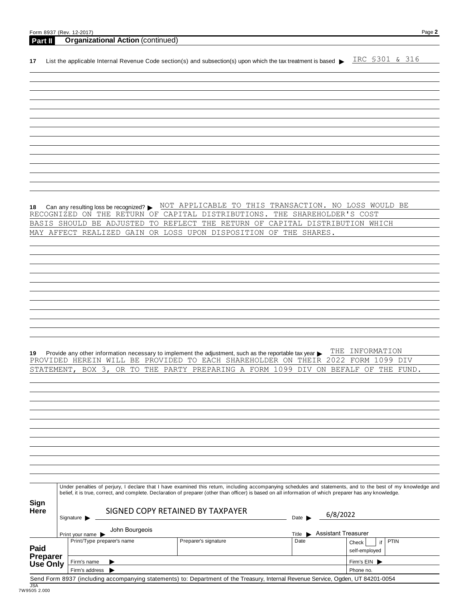|                                                     | Form 8937 (Rev. 12-2017)                                                                                                                                     |                                                                                                                                                                         |                           | Page 2                       |
|-----------------------------------------------------|--------------------------------------------------------------------------------------------------------------------------------------------------------------|-------------------------------------------------------------------------------------------------------------------------------------------------------------------------|---------------------------|------------------------------|
| Part II                                             | <b>Organizational Action (continued)</b>                                                                                                                     |                                                                                                                                                                         |                           |                              |
| 17                                                  |                                                                                                                                                              | List the applicable Internal Revenue Code section(s) and subsection(s) upon which the tax treatment is based >                                                          |                           | IRC \$301 & 316              |
|                                                     |                                                                                                                                                              |                                                                                                                                                                         |                           |                              |
|                                                     |                                                                                                                                                              |                                                                                                                                                                         |                           |                              |
|                                                     |                                                                                                                                                              |                                                                                                                                                                         |                           |                              |
|                                                     |                                                                                                                                                              |                                                                                                                                                                         |                           |                              |
|                                                     |                                                                                                                                                              |                                                                                                                                                                         |                           |                              |
|                                                     |                                                                                                                                                              |                                                                                                                                                                         |                           |                              |
|                                                     |                                                                                                                                                              |                                                                                                                                                                         |                           |                              |
|                                                     |                                                                                                                                                              |                                                                                                                                                                         |                           |                              |
|                                                     |                                                                                                                                                              |                                                                                                                                                                         |                           |                              |
|                                                     |                                                                                                                                                              |                                                                                                                                                                         |                           |                              |
|                                                     |                                                                                                                                                              |                                                                                                                                                                         |                           |                              |
|                                                     |                                                                                                                                                              |                                                                                                                                                                         |                           |                              |
|                                                     |                                                                                                                                                              |                                                                                                                                                                         |                           |                              |
|                                                     | Can any resulting loss be recognized? ▶                                                                                                                      | NOT APPLICABLE TO THIS TRANSACTION. NO LOSS WOULD BE                                                                                                                    |                           |                              |
|                                                     | RECOGNIZED ON THE RETURN OF<br>BASIS SHOULD BE ADJUSTED                                                                                                      | CAPITAL DISTRIBUTIONS.<br>TO REFLECT THE RETURN OF CAPITAL DISTRIBUTION WHICH                                                                                           | THE SHAREHOLDER'S COST    |                              |
|                                                     | MAY AFFECT REALIZED GAIN                                                                                                                                     | OR LOSS UPON DISPOSITION OF THE SHARES.                                                                                                                                 |                           |                              |
|                                                     |                                                                                                                                                              |                                                                                                                                                                         |                           |                              |
|                                                     |                                                                                                                                                              |                                                                                                                                                                         |                           |                              |
|                                                     |                                                                                                                                                              |                                                                                                                                                                         |                           |                              |
|                                                     |                                                                                                                                                              |                                                                                                                                                                         |                           |                              |
|                                                     |                                                                                                                                                              |                                                                                                                                                                         |                           |                              |
|                                                     |                                                                                                                                                              |                                                                                                                                                                         |                           |                              |
|                                                     |                                                                                                                                                              |                                                                                                                                                                         |                           |                              |
|                                                     |                                                                                                                                                              |                                                                                                                                                                         |                           |                              |
|                                                     |                                                                                                                                                              |                                                                                                                                                                         |                           |                              |
|                                                     |                                                                                                                                                              |                                                                                                                                                                         |                           |                              |
|                                                     |                                                                                                                                                              |                                                                                                                                                                         |                           |                              |
|                                                     |                                                                                                                                                              | Provide any other information necessary to implement the adjustment, such as the reportable tax year ▶<br>PROVIDED HEREIN WILL BE PROVIDED TO EACH SHAREHOLDER ON THEIR | THE<br>2022               | INFORMATION<br>FORM 1099 DIV |
| STATEMENT,                                          | BOX $3,$<br>OR TO THE                                                                                                                                        | PARTY PREPARING A FORM 1099 DIV ON BEFALF                                                                                                                               |                           | ΟF<br>THE FUND.              |
|                                                     |                                                                                                                                                              |                                                                                                                                                                         |                           |                              |
|                                                     |                                                                                                                                                              |                                                                                                                                                                         |                           |                              |
|                                                     |                                                                                                                                                              |                                                                                                                                                                         |                           |                              |
|                                                     |                                                                                                                                                              |                                                                                                                                                                         |                           |                              |
|                                                     |                                                                                                                                                              |                                                                                                                                                                         |                           |                              |
|                                                     |                                                                                                                                                              |                                                                                                                                                                         |                           |                              |
|                                                     |                                                                                                                                                              |                                                                                                                                                                         |                           |                              |
|                                                     |                                                                                                                                                              |                                                                                                                                                                         |                           |                              |
|                                                     |                                                                                                                                                              |                                                                                                                                                                         |                           |                              |
|                                                     |                                                                                                                                                              |                                                                                                                                                                         |                           |                              |
|                                                     |                                                                                                                                                              |                                                                                                                                                                         |                           |                              |
|                                                     |                                                                                                                                                              |                                                                                                                                                                         |                           |                              |
|                                                     | Under penalties of perjury, I declare that I have examined this return, including accompanying schedules and statements, and to the best of my knowledge and | belief, it is true, correct, and complete. Declaration of preparer (other than officer) is based on all information of which preparer has any knowledge.                |                           |                              |
|                                                     |                                                                                                                                                              |                                                                                                                                                                         |                           |                              |
|                                                     |                                                                                                                                                              | SIGNED COPY RETAINED BY TAXPAYER                                                                                                                                        |                           |                              |
|                                                     | Signature                                                                                                                                                    |                                                                                                                                                                         | 6/8/2022<br>Date          |                              |
|                                                     | John Bourgeois<br>Print your name                                                                                                                            |                                                                                                                                                                         | Title Assistant Treasurer |                              |
|                                                     | Print/Type preparer's name                                                                                                                                   | Preparer's signature                                                                                                                                                    | Date                      | PTIN<br>if<br>Check          |
|                                                     |                                                                                                                                                              |                                                                                                                                                                         |                           | self-employed                |
| Sign<br>Here<br><b>Paid</b><br>Preparer<br>Use Only | Firm's name<br>Firm's address                                                                                                                                |                                                                                                                                                                         |                           | Firm's EIN                   |